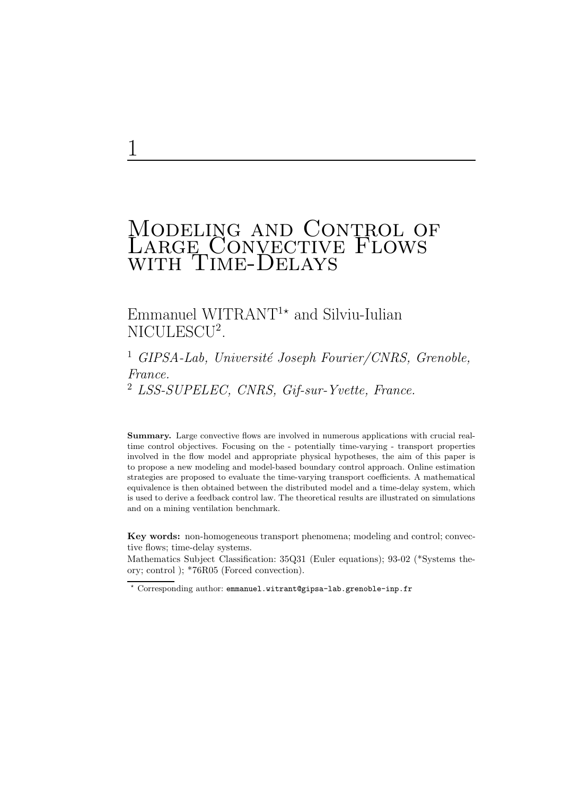# Modeling and Control of Large Convective Flows with Time-Delays

## Emmanuel WITRANT<sup>1\*</sup> and Silviu-Iulian NICULESCU<sup>2</sup>.

## <sup>1</sup> GIPSA-Lab, Université Joseph Fourier/CNRS, Grenoble, France. <sup>2</sup> LSS-SUPELEC, CNRS, Gif-sur-Yvette, France.

Summary. Large convective flows are involved in numerous applications with crucial realtime control objectives. Focusing on the - potentially time-varying - transport properties involved in the flow model and appropriate physical hypotheses, the aim of this paper is to propose a new modeling and model-based boundary control approach. Online estimation strategies are proposed to evaluate the time-varying transport coefficients. A mathematical equivalence is then obtained between the distributed model and a time-delay system, which is used to derive a feedback control law. The theoretical results are illustrated on simulations and on a mining ventilation benchmark.

Key words: non-homogeneous transport phenomena; modeling and control; convective flows; time-delay systems.

Mathematics Subject Classification: 35Q31 (Euler equations); 93-02 (\*Systems theory; control ); \*76R05 (Forced convection).

<sup>⋆</sup> Corresponding author: emmanuel.witrant@gipsa-lab.grenoble-inp.fr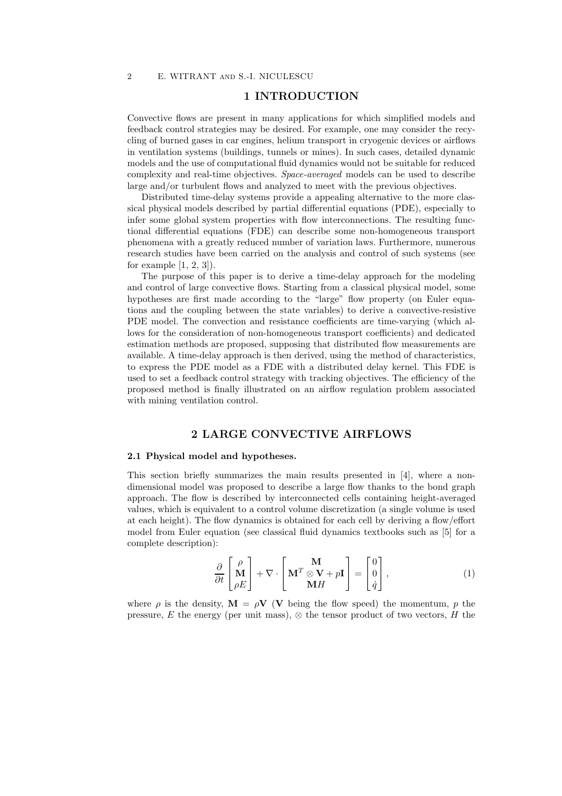## 1 INTRODUCTION

Convective flows are present in many applications for which simplified models and feedback control strategies may be desired. For example, one may consider the recycling of burned gases in car engines, helium transport in cryogenic devices or airflows in ventilation systems (buildings, tunnels or mines). In such cases, detailed dynamic models and the use of computational fluid dynamics would not be suitable for reduced complexity and real-time objectives. *Space-averaged* models can be used to describe large and/or turbulent flows and analyzed to meet with the previous objectives.

Distributed time-delay systems provide a appealing alternative to the more classical physical models described by partial differential equations (PDE), especially to infer some global system properties with flow interconnections. The resulting functional differential equations (FDE) can describe some non-homogeneous transport phenomena with a greatly reduced number of variation laws. Furthermore, numerous research studies have been carried on the analysis and control of such systems (see for example  $[1, 2, 3]$ .

The purpose of this paper is to derive a time-delay approach for the modeling and control of large convective flows. Starting from a classical physical model, some hypotheses are first made according to the "large" flow property (on Euler equations and the coupling between the state variables) to derive a convective-resistive PDE model. The convection and resistance coefficients are time-varying (which allows for the consideration of non-homogeneous transport coefficients) and dedicated estimation methods are proposed, supposing that distributed flow measurements are available. A time-delay approach is then derived, using the method of characteristics, to express the PDE model as a FDE with a distributed delay kernel. This FDE is used to set a feedback control strategy with tracking objectives. The efficiency of the proposed method is finally illustrated on an airflow regulation problem associated with mining ventilation control.

## 2 LARGE CONVECTIVE AIRFLOWS

#### 2.1 Physical model and hypotheses.

This section briefly summarizes the main results presented in [4], where a nondimensional model was proposed to describe a large flow thanks to the bond graph approach. The flow is described by interconnected cells containing height-averaged values, which is equivalent to a control volume discretization (a single volume is used at each height). The flow dynamics is obtained for each cell by deriving a flow/effort model from Euler equation (see classical fluid dynamics textbooks such as [5] for a complete description):

$$
\frac{\partial}{\partial t} \begin{bmatrix} \rho \\ \mathbf{M} \\ \rho E \end{bmatrix} + \nabla \cdot \begin{bmatrix} \mathbf{M} \\ \mathbf{M}^T \otimes \mathbf{V} + p\mathbf{I} \\ \mathbf{M} H \end{bmatrix} = \begin{bmatrix} 0 \\ 0 \\ \dot{q} \end{bmatrix},
$$
\n(1)

where  $\rho$  is the density,  $\mathbf{M} = \rho \mathbf{V}$  (V being the flow speed) the momentum, p the pressure, E the energy (per unit mass),  $\otimes$  the tensor product of two vectors, H the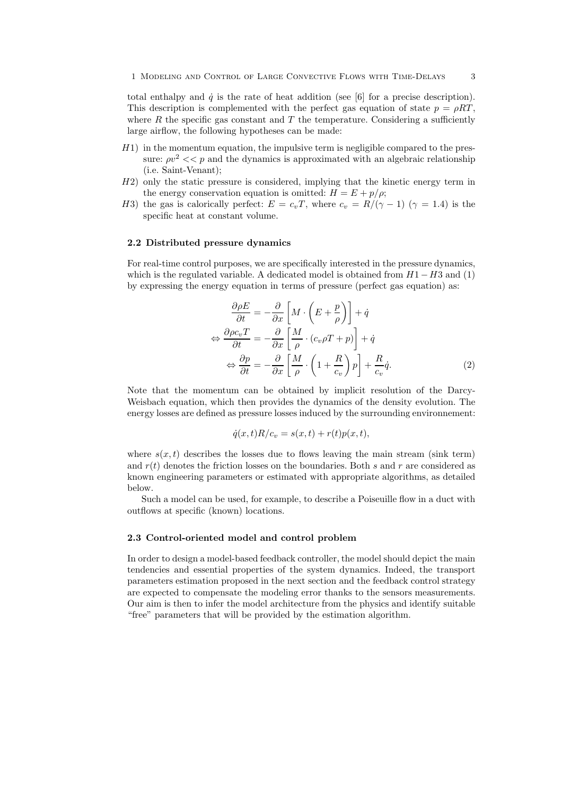total enthalpy and  $\dot{q}$  is the rate of heat addition (see [6] for a precise description). This description is complemented with the perfect gas equation of state  $p = \rho RT$ , where  $R$  the specific gas constant and  $T$  the temperature. Considering a sufficiently large airflow, the following hypotheses can be made:

- $H1$ ) in the momentum equation, the impulsive term is negligible compared to the pressure:  $\rho v^2 \ll p$  and the dynamics is approximated with an algebraic relationship (i.e. Saint-Venant);
- H2) only the static pressure is considered, implying that the kinetic energy term in the energy conservation equation is omitted:  $H = E + p/\rho$ ;
- H3) the gas is calorically perfect:  $E = c_vT$ , where  $c_v = R/(\gamma 1)$  ( $\gamma = 1.4$ ) is the specific heat at constant volume.

#### 2.2 Distributed pressure dynamics

For real-time control purposes, we are specifically interested in the pressure dynamics, which is the regulated variable. A dedicated model is obtained from  $H1-H3$  and (1) by expressing the energy equation in terms of pressure (perfect gas equation) as:

$$
\frac{\partial \rho E}{\partial t} = -\frac{\partial}{\partial x} \left[ M \cdot \left( E + \frac{p}{\rho} \right) \right] + \dot{q}
$$

$$
\Leftrightarrow \frac{\partial \rho c_v T}{\partial t} = -\frac{\partial}{\partial x} \left[ \frac{M}{\rho} \cdot (c_v \rho T + p) \right] + \dot{q}
$$

$$
\Leftrightarrow \frac{\partial p}{\partial t} = -\frac{\partial}{\partial x} \left[ \frac{M}{\rho} \cdot \left( 1 + \frac{R}{c_v} \right) p \right] + \frac{R}{c_v} \dot{q}.
$$
(2)

Note that the momentum can be obtained by implicit resolution of the Darcy-Weisbach equation, which then provides the dynamics of the density evolution. The energy losses are defined as pressure losses induced by the surrounding environnement:

$$
\dot{q}(x,t)R/c_v = s(x,t) + r(t)p(x,t),
$$

where  $s(x, t)$  describes the losses due to flows leaving the main stream (sink term) and  $r(t)$  denotes the friction losses on the boundaries. Both s and r are considered as known engineering parameters or estimated with appropriate algorithms, as detailed below.

Such a model can be used, for example, to describe a Poiseuille flow in a duct with outflows at specific (known) locations.

#### 2.3 Control-oriented model and control problem

In order to design a model-based feedback controller, the model should depict the main tendencies and essential properties of the system dynamics. Indeed, the transport parameters estimation proposed in the next section and the feedback control strategy are expected to compensate the modeling error thanks to the sensors measurements. Our aim is then to infer the model architecture from the physics and identify suitable "free" parameters that will be provided by the estimation algorithm.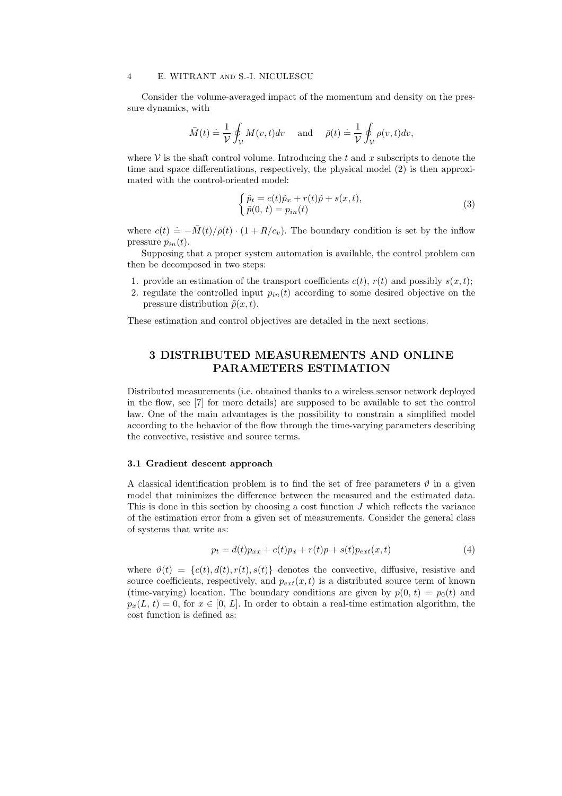Consider the volume-averaged impact of the momentum and density on the pressure dynamics, with

$$
\bar{M}(t) \doteq \frac{1}{\mathcal{V}} \oint_{\mathcal{V}} M(v, t) dv \quad \text{and} \quad \bar{\rho}(t) \doteq \frac{1}{\mathcal{V}} \oint_{\mathcal{V}} \rho(v, t) dv,
$$

where  $\mathcal V$  is the shaft control volume. Introducing the t and x subscripts to denote the time and space differentiations, respectively, the physical model (2) is then approximated with the control-oriented model:

$$
\begin{cases} \tilde{p}_t = c(t)\tilde{p}_x + r(t)\tilde{p} + s(x, t), \\ \tilde{p}(0, t) = p_{in}(t) \end{cases}
$$
\n(3)

where  $c(t) \doteq -\bar{M}(t)/\bar{\rho}(t) \cdot (1 + R/c_v)$ . The boundary condition is set by the inflow pressure  $p_{in}(t)$ .

Supposing that a proper system automation is available, the control problem can then be decomposed in two steps:

- 1. provide an estimation of the transport coefficients  $c(t)$ ,  $r(t)$  and possibly  $s(x, t)$ ;
- 2. regulate the controlled input  $p_{in}(t)$  according to some desired objective on the pressure distribution  $\tilde{p}(x, t)$ .

These estimation and control objectives are detailed in the next sections.

## 3 DISTRIBUTED MEASUREMENTS AND ONLINE PARAMETERS ESTIMATION

Distributed measurements (i.e. obtained thanks to a wireless sensor network deployed in the flow, see [7] for more details) are supposed to be available to set the control law. One of the main advantages is the possibility to constrain a simplified model according to the behavior of the flow through the time-varying parameters describing the convective, resistive and source terms.

#### 3.1 Gradient descent approach

A classical identification problem is to find the set of free parameters  $\vartheta$  in a given model that minimizes the difference between the measured and the estimated data. This is done in this section by choosing a cost function  $J$  which reflects the variance of the estimation error from a given set of measurements. Consider the general class of systems that write as:

$$
p_t = d(t)p_{xx} + c(t)p_x + r(t)p + s(t)p_{ext}(x, t)
$$
\n(4)

where  $\vartheta(t) = \{c(t), d(t), r(t), s(t)\}\$  denotes the convective, diffusive, resistive and source coefficients, respectively, and  $p_{ext}(x, t)$  is a distributed source term of known (time-varying) location. The boundary conditions are given by  $p(0, t) = p_0(t)$  and  $p_x(L, t) = 0$ , for  $x \in [0, L]$ . In order to obtain a real-time estimation algorithm, the cost function is defined as: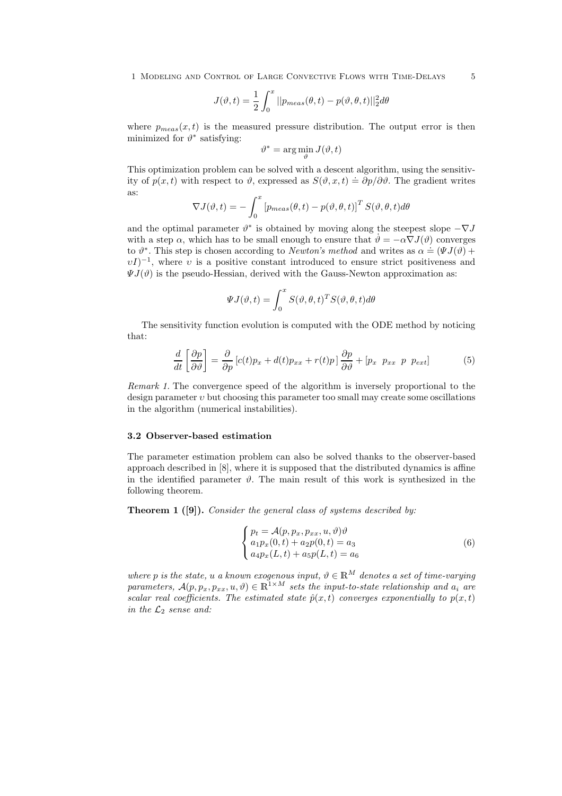1 Modeling and Control of Large Convective Flows with Time-Delays 5

$$
J(\vartheta, t) = \frac{1}{2} \int_0^x ||p_{meas}(\theta, t) - p(\vartheta, \theta, t)||_2^2 d\theta
$$

where  $p_{meas}(x, t)$  is the measured pressure distribution. The output error is then minimized for  $\vartheta^*$  satisfying:

$$
\vartheta^* = \arg\min_{\vartheta} J(\vartheta, t)
$$

This optimization problem can be solved with a descent algorithm, using the sensitivity of  $p(x, t)$  with respect to  $\vartheta$ , expressed as  $S(\vartheta, x, t) \doteq \partial p/\partial \vartheta$ . The gradient writes as:

$$
\nabla J(\vartheta, t) = -\int_0^x \left[ p_{meas}(\theta, t) - p(\vartheta, \theta, t) \right]^T S(\vartheta, \theta, t) d\theta
$$

and the optimal parameter  $\vartheta^*$  is obtained by moving along the steepest slope  $-\nabla J$ with a step  $\alpha$ , which has to be small enough to ensure that  $\dot{\theta} = -\alpha \nabla J(\theta)$  converges  $\alpha \theta^*$ . This step is chosen according to *Newton's method* and writes as  $\alpha = (\Psi J(\theta) + \Psi J(\theta))$  $vI$ <sup>-1</sup>, where v is a positive constant introduced to ensure strict positiveness and  $\Psi J(\vartheta)$  is the pseudo-Hessian, derived with the Gauss-Newton approximation as:

$$
\Psi J(\vartheta, t) = \int_0^x S(\vartheta, \theta, t)^T S(\vartheta, \theta, t) d\theta
$$

The sensitivity function evolution is computed with the ODE method by noticing that:

$$
\frac{d}{dt}\left[\frac{\partial p}{\partial \vartheta}\right] = \frac{\partial}{\partial p}\left[c(t)p_x + d(t)p_{xx} + r(t)p\right]\frac{\partial p}{\partial \vartheta} + \left[p_x \ p_{xx} \ p \ p_{ext}\right] \tag{5}
$$

*Remark 1.* The convergence speed of the algorithm is inversely proportional to the design parameter  $v$  but choosing this parameter too small may create some oscillations in the algorithm (numerical instabilities).

#### 3.2 Observer-based estimation

The parameter estimation problem can also be solved thanks to the observer-based approach described in [8], where it is supposed that the distributed dynamics is affine in the identified parameter  $\vartheta$ . The main result of this work is synthesized in the following theorem.

Theorem 1 ([9]). *Consider the general class of systems described by:*

$$
\begin{cases}\n p_t = \mathcal{A}(p, p_x, p_{xx}, u, \vartheta)\vartheta \\
 a_1 p_x(0, t) + a_2 p(0, t) = a_3 \\
 a_4 p_x(L, t) + a_5 p(L, t) = a_6\n\end{cases}
$$
\n(6)

*where* p *is the state,* u *a known exogenous input,*  $\vartheta \in \mathbb{R}^M$  *denotes a set of time-varying parameters,*  $\mathcal{A}(p, p_x, p_{xx}, u, v) \in \mathbb{R}^{1 \times M}$  *sets the input-to-state relationship and*  $a_i$  *are scalar real coefficients. The estimated state*  $\hat{p}(x,t)$  *converges exponentially to*  $p(x,t)$ *in the*  $\mathcal{L}_2$  *sense and:*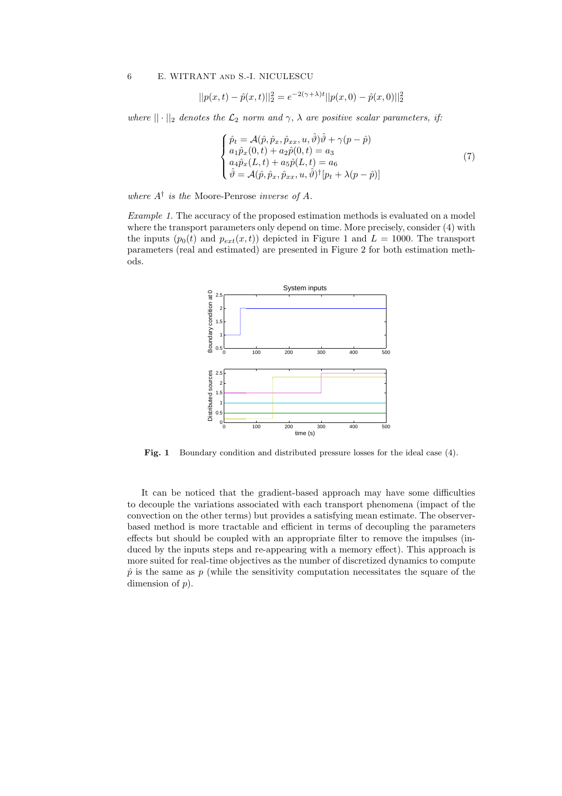$$
||p(x,t) - \hat{p}(x,t)||_2^2 = e^{-2(\gamma + \lambda)t} ||p(x,0) - \hat{p}(x,0)||_2^2
$$

*where*  $|| \cdot ||_2$  *denotes the*  $\mathcal{L}_2$  *norm and*  $\gamma$ ,  $\lambda$  *are positive scalar parameters, if:* 

$$
\begin{cases}\n\hat{p}_t = \mathcal{A}(\hat{p}, \hat{p}_x, \hat{p}_{xx}, u, \hat{\vartheta})\hat{\vartheta} + \gamma(p - \hat{p}) \\
a_1 \hat{p}_x(0, t) + a_2 \hat{p}(0, t) = a_3 \\
a_4 \hat{p}_x(L, t) + a_5 \hat{p}(L, t) = a_6 \\
\hat{\vartheta} = \mathcal{A}(\hat{p}, \hat{p}_x, \hat{p}_{xx}, u, \hat{\vartheta})^\dagger [p_t + \lambda(p - \hat{p})]\n\end{cases} (7)
$$

*where* A† *is the* Moore-Penrose *inverse of* A*.*

*Example 1.* The accuracy of the proposed estimation methods is evaluated on a model where the transport parameters only depend on time. More precisely, consider (4) with the inputs  $(p_0(t)$  and  $p_{ext}(x,t)$  depicted in Figure 1 and  $L = 1000$ . The transport parameters (real and estimated) are presented in Figure 2 for both estimation methods.



Fig. 1 Boundary condition and distributed pressure losses for the ideal case (4).

It can be noticed that the gradient-based approach may have some difficulties to decouple the variations associated with each transport phenomena (impact of the convection on the other terms) but provides a satisfying mean estimate. The observerbased method is more tractable and efficient in terms of decoupling the parameters effects but should be coupled with an appropriate filter to remove the impulses (induced by the inputs steps and re-appearing with a memory effect). This approach is more suited for real-time objectives as the number of discretized dynamics to compute  $\hat{p}$  is the same as p (while the sensitivity computation necessitates the square of the dimension of  $p$ ).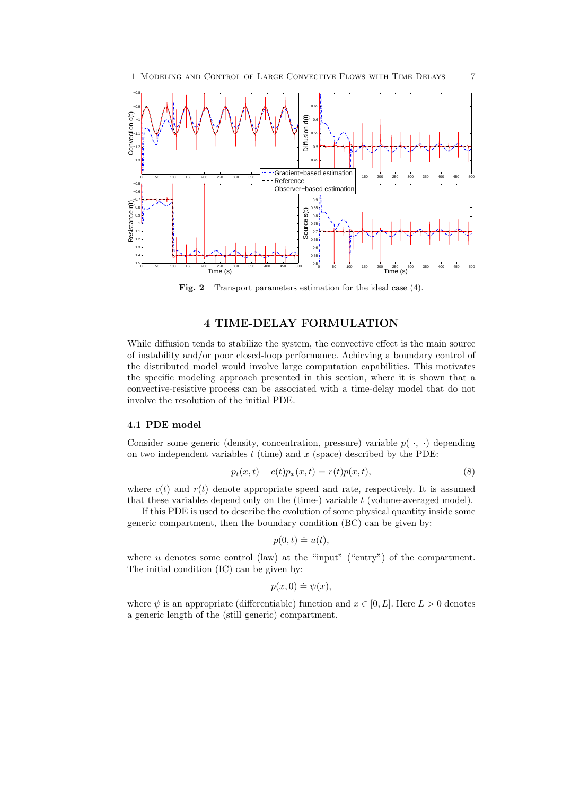

Fig. 2 Transport parameters estimation for the ideal case (4).

## 4 TIME-DELAY FORMULATION

While diffusion tends to stabilize the system, the convective effect is the main source of instability and/or poor closed-loop performance. Achieving a boundary control of the distributed model would involve large computation capabilities. This motivates the specific modeling approach presented in this section, where it is shown that a convective-resistive process can be associated with a time-delay model that do not involve the resolution of the initial PDE.

#### 4.1 PDE model

Consider some generic (density, concentration, pressure) variable  $p(\cdot, \cdot)$  depending on two independent variables  $t$  (time) and  $x$  (space) described by the PDE:

$$
p_t(x,t) - c(t)p_x(x,t) = r(t)p(x,t),
$$
\n(8)

where  $c(t)$  and  $r(t)$  denote appropriate speed and rate, respectively. It is assumed that these variables depend only on the  $(\text{time-})$  variable  $t$  (volume-averaged model).

If this PDE is used to describe the evolution of some physical quantity inside some generic compartment, then the boundary condition (BC) can be given by:

$$
p(0,t) \doteq u(t),
$$

where  $u$  denotes some control (law) at the "input" ("entry") of the compartment. The initial condition (IC) can be given by:

$$
p(x,0)\doteq \psi(x),
$$

where  $\psi$  is an appropriate (differentiable) function and  $x \in [0, L]$ . Here  $L > 0$  denotes a generic length of the (still generic) compartment.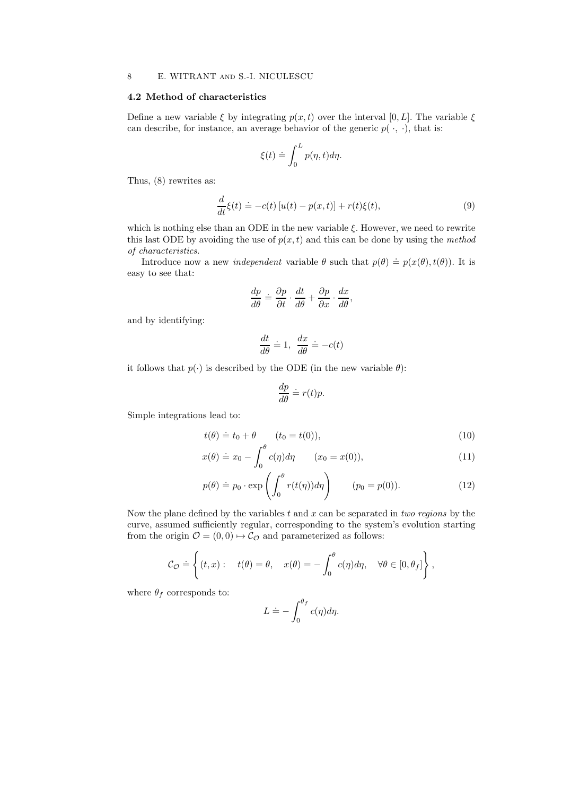#### 4.2 Method of characteristics

Define a new variable  $\xi$  by integrating  $p(x, t)$  over the interval [0, L]. The variable  $\xi$ can describe, for instance, an average behavior of the generic  $p(\cdot, \cdot)$ , that is:

$$
\xi(t) \doteq \int_0^L p(\eta, t) d\eta.
$$

Thus, (8) rewrites as:

$$
\frac{d}{dt}\xi(t) \doteq -c(t)\left[u(t) - p(x,t)\right] + r(t)\xi(t),\tag{9}
$$

which is nothing else than an ODE in the new variable  $\xi$ . However, we need to rewrite this last ODE by avoiding the use of  $p(x, t)$  and this can be done by using the *method of characteristics*.

Introduce now a new *independent* variable  $\theta$  such that  $p(\theta) \doteq p(x(\theta), t(\theta))$ . It is easy to see that:

$$
\frac{dp}{d\theta} = \frac{\partial p}{\partial t} \cdot \frac{dt}{d\theta} + \frac{\partial p}{\partial x} \cdot \frac{dx}{d\theta},
$$

and by identifying:

$$
\frac{dt}{d\theta} \doteq 1, \ \frac{dx}{d\theta} \doteq -c(t)
$$

it follows that  $p(\cdot)$  is described by the ODE (in the new variable  $\theta$ ):

$$
\frac{dp}{d\theta} \doteq r(t)p.
$$

Simple integrations lead to:

$$
t(\theta) \doteq t_0 + \theta \qquad (t_0 = t(0)), \qquad (10)
$$

$$
x(\theta) \doteq x_0 - \int_0^{\nu} c(\eta) d\eta \qquad (x_0 = x(0)), \qquad (11)
$$

$$
p(\theta) \doteq p_0 \cdot \exp\left(\int_0^{\theta} r(t(\eta)) d\eta\right) \qquad (p_0 = p(0)).
$$
 (12)

Now the plane defined by the variables t and x can be separated in *two regions* by the curve, assumed sufficiently regular, corresponding to the system's evolution starting from the origin  $\mathcal{O} = (0, 0) \mapsto \mathcal{C}_{\mathcal{O}}$  and parameterized as follows:

$$
\mathcal{C}_{\mathcal{O}} \doteq \left\{ (t,x) : \quad t(\theta) = \theta, \quad x(\theta) = -\int_0^{\theta} c(\eta) d\eta, \quad \forall \theta \in [0,\theta_f] \right\},\,
$$

where  $\theta_f$  corresponds to:

$$
L \doteq -\int_0^{\theta_f} c(\eta) d\eta.
$$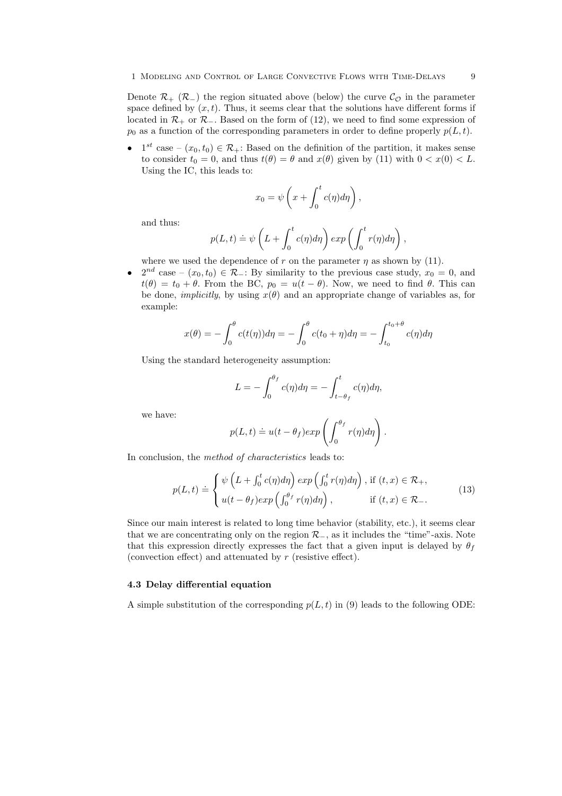Denote  $\mathcal{R}_+$  ( $\mathcal{R}_-$ ) the region situated above (below) the curve  $\mathcal{C}_{\mathcal{O}}$  in the parameter space defined by  $(x, t)$ . Thus, it seems clear that the solutions have different forms if located in  $\mathcal{R}_+$  or  $\mathcal{R}_-$ . Based on the form of (12), we need to find some expression of  $p_0$  as a function of the corresponding parameters in order to define properly  $p(L, t)$ .

•  $1^{st}$  case –  $(x_0, t_0) \in \mathcal{R}_+$ : Based on the definition of the partition, it makes sense to consider  $t_0 = 0$ , and thus  $t(\theta) = \theta$  and  $x(\theta)$  given by (11) with  $0 < x(0) < L$ . Using the IC, this leads to:

$$
x_0 = \psi\left(x + \int_0^t c(\eta) d\eta\right),\,
$$

and thus:

$$
p(L,t) \doteq \psi \left( L + \int_0^t c(\eta) d\eta \right) exp \left( \int_0^t r(\eta) d\eta \right),
$$

where we used the dependence of r on the parameter  $\eta$  as shown by (11).

•  $2^{nd}$  case –  $(x_0, t_0) \in \mathcal{R}_-$ : By similarity to the previous case study,  $x_0 = 0$ , and  $t(\theta) = t_0 + \theta$ . From the BC,  $p_0 = u(t - \theta)$ . Now, we need to find  $\theta$ . This can be done, *implicitly*, by using  $x(\theta)$  and an appropriate change of variables as, for example:

$$
x(\theta) = -\int_0^{\theta} c(t(\eta)) d\eta = -\int_0^{\theta} c(t_0 + \eta) d\eta = -\int_{t_0}^{t_0 + \theta} c(\eta) d\eta
$$

Using the standard heterogeneity assumption:

$$
L = -\int_0^{\theta_f} c(\eta) d\eta = -\int_{t-\theta_f}^t c(\eta) d\eta,
$$

we have:

$$
p(L,t) \doteq u(t - \theta_f) exp \left( \int_0^{\theta_f} r(\eta) d\eta \right).
$$

In conclusion, the *method of characteristics* leads to:

$$
p(L,t) \doteq \begin{cases} \psi\left(L + \int_0^t c(\eta)d\eta\right) \exp\left(\int_0^t r(\eta)d\eta\right), \text{ if } (t,x) \in \mathcal{R}_+, \\ u(t - \theta_f) \exp\left(\int_0^{\theta_f} r(\eta)d\eta\right), \text{ if } (t,x) \in \mathcal{R}_-. \end{cases} \tag{13}
$$

Since our main interest is related to long time behavior (stability, etc.), it seems clear that we are concentrating only on the region  $\mathcal{R}_-$ , as it includes the "time"-axis. Note that this expression directly expresses the fact that a given input is delayed by  $\theta_f$ (convection effect) and attenuated by  $r$  (resistive effect).

### 4.3 Delay differential equation

A simple substitution of the corresponding  $p(L, t)$  in (9) leads to the following ODE: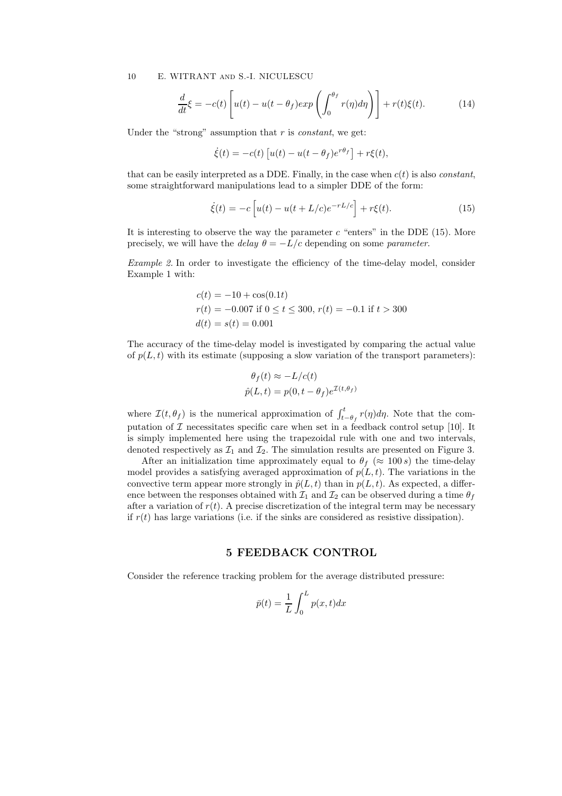$$
\frac{d}{dt}\xi = -c(t)\left[u(t) - u(t - \theta_f)exp\left(\int_0^{\theta_f} r(\eta)d\eta\right)\right] + r(t)\xi(t).
$$
\n(14)

Under the "strong" assumption that r is *constant*, we get:

$$
\dot{\xi}(t) = -c(t) \left[ u(t) - u(t - \theta_f) e^{r\theta_f} \right] + r\xi(t),
$$

that can be easily interpreted as a DDE. Finally, in the case when  $c(t)$  is also *constant*, some straightforward manipulations lead to a simpler DDE of the form:

$$
\dot{\xi}(t) = -c \left[ u(t) - u(t + L/c)e^{-rL/c} \right] + r\xi(t). \tag{15}
$$

It is interesting to observe the way the parameter  $c$  "enters" in the DDE (15). More precisely, we will have the *delay*  $\theta = -L/c$  depending on some *parameter*.

*Example 2.* In order to investigate the efficiency of the time-delay model, consider Example 1 with:

$$
c(t) = -10 + \cos(0.1t)
$$
  
\n
$$
r(t) = -0.007 \text{ if } 0 \le t \le 300, r(t) = -0.1 \text{ if } t > 300
$$
  
\n
$$
d(t) = s(t) = 0.001
$$

The accuracy of the time-delay model is investigated by comparing the actual value of  $p(L, t)$  with its estimate (supposing a slow variation of the transport parameters):

$$
\theta_f(t) \approx -L/c(t)
$$
  

$$
\hat{p}(L, t) = p(0, t - \theta_f)e^{\mathcal{I}(t, \theta_f)}
$$

where  $\mathcal{I}(t, \theta_f)$  is the numerical approximation of  $\int_{t-\theta_f}^{t} r(\eta) d\eta$ . Note that the computation of  $\mathcal I$  necessitates specific care when set in a feedback control setup [10]. It is simply implemented here using the trapezoidal rule with one and two intervals, denoted respectively as  $\mathcal{I}_1$  and  $\mathcal{I}_2$ . The simulation results are presented on Figure 3.

After an initialization time approximately equal to  $\theta_f$  ( $\approx 100 s$ ) the time-delay model provides a satisfying averaged approximation of  $p(L, t)$ . The variations in the convective term appear more strongly in  $\hat{p}(L, t)$  than in  $p(L, t)$ . As expected, a difference between the responses obtained with  $\mathcal{I}_1$  and  $\mathcal{I}_2$  can be observed during a time  $\theta_f$ after a variation of  $r(t)$ . A precise discretization of the integral term may be necessary if  $r(t)$  has large variations (i.e. if the sinks are considered as resistive dissipation).

## 5 FEEDBACK CONTROL

Consider the reference tracking problem for the average distributed pressure:

$$
\bar{p}(t) = \frac{1}{L} \int_0^L p(x, t) dx
$$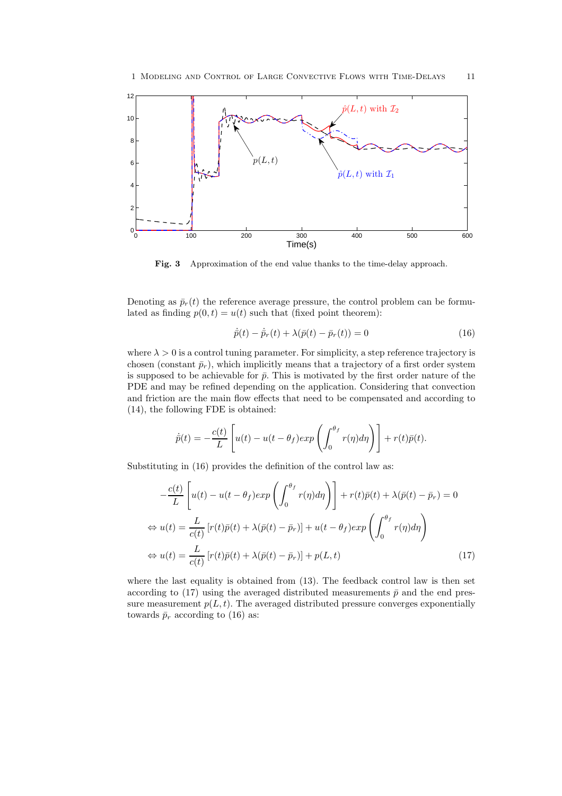

Fig. 3 Approximation of the end value thanks to the time-delay approach.

Denoting as  $\bar{p}_r(t)$  the reference average pressure, the control problem can be formulated as finding  $p(0, t) = u(t)$  such that (fixed point theorem):

$$
\dot{\bar{p}}(t) - \dot{\bar{p}}_r(t) + \lambda(\bar{p}(t) - \bar{p}_r(t)) = 0
$$
\n(16)

where  $\lambda > 0$  is a control tuning parameter. For simplicity, a step reference trajectory is chosen (constant  $\bar{p}_r$ ), which implicitly means that a trajectory of a first order system is supposed to be achievable for  $\bar{p}$ . This is motivated by the first order nature of the PDE and may be refined depending on the application. Considering that convection and friction are the main flow effects that need to be compensated and according to (14), the following FDE is obtained:

$$
\dot{\bar{p}}(t) = -\frac{c(t)}{L} \left[ u(t) - u(t - \theta_f) exp\left( \int_0^{\theta_f} r(\eta) d\eta \right) \right] + r(t)\bar{p}(t).
$$

Substituting in (16) provides the definition of the control law as:

$$
-\frac{c(t)}{L}\left[u(t) - u(t - \theta_f)exp\left(\int_0^{\theta_f} r(\eta)d\eta\right)\right] + r(t)\bar{p}(t) + \lambda(\bar{p}(t) - \bar{p}_r) = 0
$$
  
\n
$$
\Leftrightarrow u(t) = \frac{L}{c(t)}\left[r(t)\bar{p}(t) + \lambda(\bar{p}(t) - \bar{p}_r)\right] + u(t - \theta_f)exp\left(\int_0^{\theta_f} r(\eta)d\eta\right)
$$
  
\n
$$
\Leftrightarrow u(t) = \frac{L}{c(t)}\left[r(t)\bar{p}(t) + \lambda(\bar{p}(t) - \bar{p}_r)\right] + p(L,t)
$$
\n(17)

where the last equality is obtained from (13). The feedback control law is then set according to (17) using the averaged distributed measurements  $\bar{p}$  and the end pressure measurement  $p(L, t)$ . The averaged distributed pressure converges exponentially towards  $\bar{p}_r$  according to (16) as: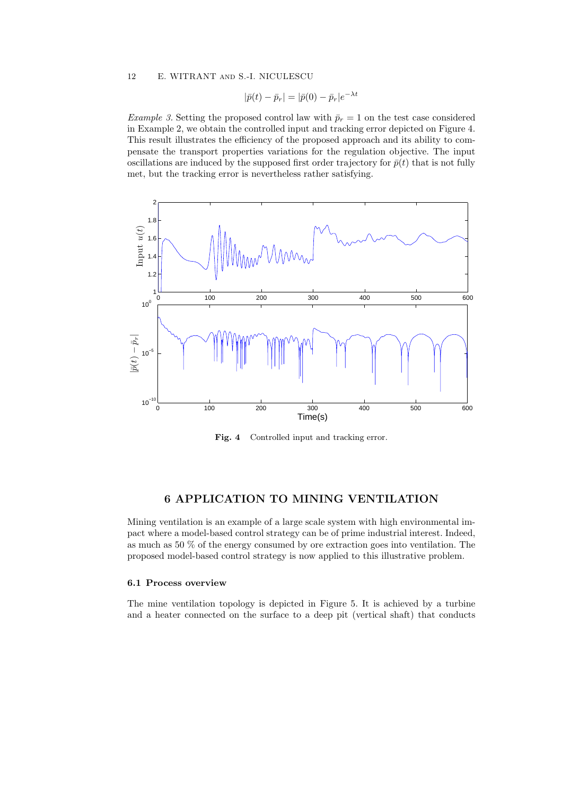$$
|\bar{p}(t) - \bar{p}_r| = |\bar{p}(0) - \bar{p}_r|e^{-\lambda t}
$$

*Example 3.* Setting the proposed control law with  $\bar{p}_r = 1$  on the test case considered in Example 2, we obtain the controlled input and tracking error depicted on Figure 4. This result illustrates the efficiency of the proposed approach and its ability to compensate the transport properties variations for the regulation objective. The input oscillations are induced by the supposed first order trajectory for  $\bar{p}(t)$  that is not fully met, but the tracking error is nevertheless rather satisfying.



Fig. 4 Controlled input and tracking error.

## 6 APPLICATION TO MINING VENTILATION

Mining ventilation is an example of a large scale system with high environmental impact where a model-based control strategy can be of prime industrial interest. Indeed, as much as 50 % of the energy consumed by ore extraction goes into ventilation. The proposed model-based control strategy is now applied to this illustrative problem.

## 6.1 Process overview

The mine ventilation topology is depicted in Figure 5. It is achieved by a turbine and a heater connected on the surface to a deep pit (vertical shaft) that conducts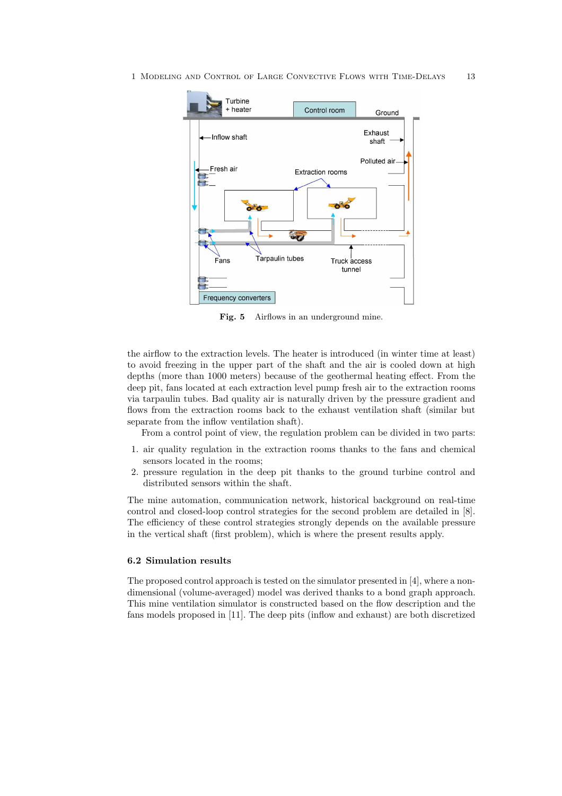

Fig. 5 Airflows in an underground mine.

the airflow to the extraction levels. The heater is introduced (in winter time at least) to avoid freezing in the upper part of the shaft and the air is cooled down at high depths (more than 1000 meters) because of the geothermal heating effect. From the deep pit, fans located at each extraction level pump fresh air to the extraction rooms via tarpaulin tubes. Bad quality air is naturally driven by the pressure gradient and flows from the extraction rooms back to the exhaust ventilation shaft (similar but separate from the inflow ventilation shaft).

From a control point of view, the regulation problem can be divided in two parts:

- 1. air quality regulation in the extraction rooms thanks to the fans and chemical sensors located in the rooms;
- 2. pressure regulation in the deep pit thanks to the ground turbine control and distributed sensors within the shaft.

The mine automation, communication network, historical background on real-time control and closed-loop control strategies for the second problem are detailed in [8]. The efficiency of these control strategies strongly depends on the available pressure in the vertical shaft (first problem), which is where the present results apply.

#### 6.2 Simulation results

The proposed control approach is tested on the simulator presented in [4], where a nondimensional (volume-averaged) model was derived thanks to a bond graph approach. This mine ventilation simulator is constructed based on the flow description and the fans models proposed in [11]. The deep pits (inflow and exhaust) are both discretized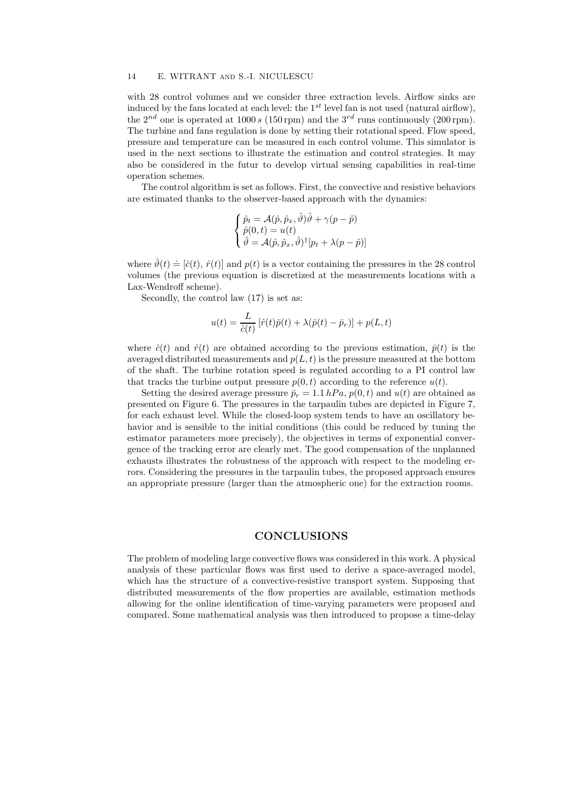with 28 control volumes and we consider three extraction levels. Airflow sinks are induced by the fans located at each level: the  $1^{st}$  level fan is not used (natural airflow), the  $2^{nd}$  one is operated at 1000 s (150 rpm) and the  $3^{rd}$  runs continuously (200 rpm). The turbine and fans regulation is done by setting their rotational speed. Flow speed, pressure and temperature can be measured in each control volume. This simulator is used in the next sections to illustrate the estimation and control strategies. It may also be considered in the futur to develop virtual sensing capabilities in real-time operation schemes.

The control algorithm is set as follows. First, the convective and resistive behaviors are estimated thanks to the observer-based approach with the dynamics:

$$
\begin{cases} \hat{p}_t = \mathcal{A}(\hat{p}, \hat{p}_x, \hat{\vartheta})\hat{\vartheta} + \gamma(p - \hat{p}) \\ \hat{p}(0, t) = u(t) \\ \hat{\vartheta} = \mathcal{A}(\hat{p}, \hat{p}_x, \hat{\vartheta})^{\dagger} [p_t + \lambda(p - \hat{p})] \end{cases}
$$

where  $\hat{\vartheta}(t) \doteq [\hat{c}(t), \hat{r}(t)]$  and  $p(t)$  is a vector containing the pressures in the 28 control volumes (the previous equation is discretized at the measurements locations with a Lax-Wendroff scheme).

Secondly, the control law (17) is set as:

$$
u(t) = \frac{L}{\hat{c}(t)} \left[ \hat{r}(t)\bar{p}(t) + \lambda(\bar{p}(t) - \bar{p}_r) \right] + p(L, t)
$$

where  $\hat{c}(t)$  and  $\hat{r}(t)$  are obtained according to the previous estimation,  $\bar{p}(t)$  is the averaged distributed measurements and  $p(L, t)$  is the pressure measured at the bottom of the shaft. The turbine rotation speed is regulated according to a PI control law that tracks the turbine output pressure  $p(0, t)$  according to the reference  $u(t)$ .

Setting the desired average pressure  $\bar{p}_r = 1.1 hPa$ ,  $p(0, t)$  and  $u(t)$  are obtained as presented on Figure 6. The pressures in the tarpaulin tubes are depicted in Figure 7, for each exhaust level. While the closed-loop system tends to have an oscillatory behavior and is sensible to the initial conditions (this could be reduced by tuning the estimator parameters more precisely), the objectives in terms of exponential convergence of the tracking error are clearly met. The good compensation of the unplanned exhausts illustrates the robustness of the approach with respect to the modeling errors. Considering the pressures in the tarpaulin tubes, the proposed approach ensures an appropriate pressure (larger than the atmospheric one) for the extraction rooms.

## **CONCLUSIONS**

The problem of modeling large convective flows was considered in this work. A physical analysis of these particular flows was first used to derive a space-averaged model, which has the structure of a convective-resistive transport system. Supposing that distributed measurements of the flow properties are available, estimation methods allowing for the online identification of time-varying parameters were proposed and compared. Some mathematical analysis was then introduced to propose a time-delay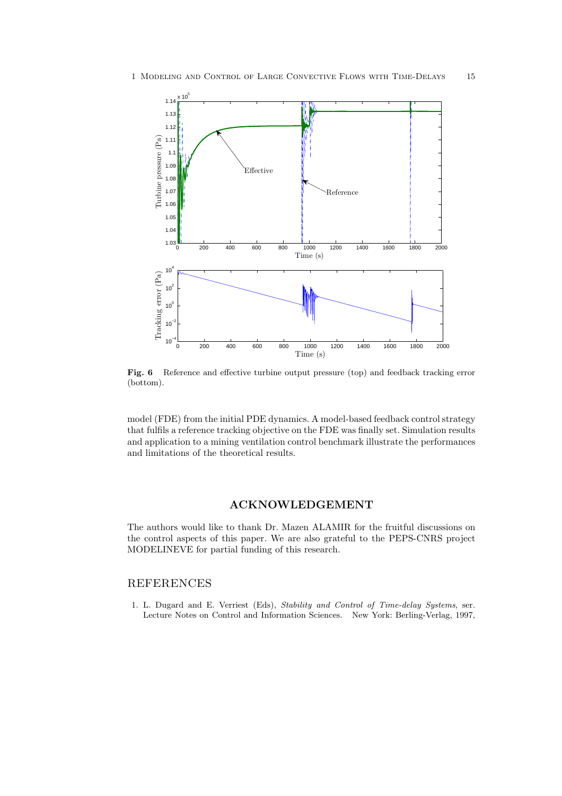

Fig. 6 Reference and effective turbine output pressure (top) and feedback tracking error (bottom).

model (FDE) from the initial PDE dynamics. A model-based feedback control strategy that fulfils a reference tracking objective on the FDE was finally set. Simulation results and application to a mining ventilation control benchmark illustrate the performances and limitations of the theoretical results.

## ACKNOWLEDGEMENT

The authors would like to thank Dr. Mazen ALAMIR for the fruitful discussions on the control aspects of this paper. We are also grateful to the PEPS-CNRS project MODELINEVE for partial funding of this research.

## REFERENCES

1. L. Dugard and E. Verriest (Eds), *Stability and Control of Time-delay Systems*, ser. Lecture Notes on Control and Information Sciences. New York: Berling-Verlag, 1997,